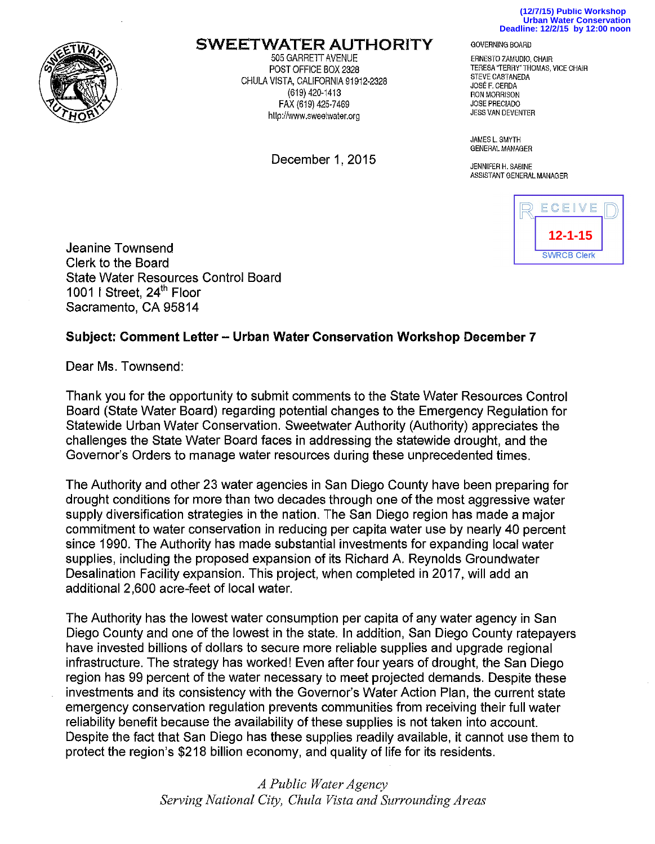



## **SWEETWATER AUTHORITY**

505 GARRElT AVENUE POST OFFICE BOX 2328 CHULA VISTA, CALIFORNIA 91912-2328 (619) 420-1413 FAX (619) 425-7469 htlp://www.sweelwater.org

December 1, 2015

## GOVERNING BOARD

ERNESTO ZAMUDIO, CHAIR TERESA "TERRY" THOMAS, VICE CHAIR STEVE CASTANEDA JOSE F. CERDA RON MORRISON JOSE PRECIADO JESS VAN OEVENTER

JAMES L. SMYTH GENERAL MANAGER

JENNIFER H, SABINE ASSISTANT GENERAL MANAGER



Jeanine Townsend Clerk to the Board State Water Resources Control Board 1001 I Street, 24<sup>th</sup> Floor Sacramento, CA 95814

## **Subject: Comment Letter- Urban Water Conservation Workshop December 7**

Dear Ms. Townsend:

Thank you for the opportunity to submit comments to the State Water Resources Control Board (State Water Board) regarding potential changes to the Emergency Regulation for Statewide Urban Water Conservation. Sweetwater Authority (Authority) appreciates the challenges the State Water Board faces in addressing the statewide drought, and the Governor's Orders to manage water resources during these unprecedented times.

The Authority and other 23 water agencies in San Diego County have been preparing for drought conditions for more than two decades through one of the most aggressive water supply diversification strategies in the nation. The San Diego region has made a major commitment to water conservation in reducing per capita water use by nearly 40 percent since 1990. The Authority has made substantial investments for expanding local water supplies, including the proposed expansion of its Richard A Reynolds Groundwater Desalination Facility expansion. This project, when completed in 2017, will add an additional2,600 acre-feet of local water.

The Authority has the lowest water consumption per capita of any water agency in San Diego County and one of the lowest in the state. In addition, San Diego County ratepayers have invested billions of dollars to secure more reliable supplies and upgrade regional infrastructure. The strategy has worked! Even after four years of drought, the San Diego region has 99 percent of the water necessary to meet projected demands. Despite these investments and its consistency with the Governor's Water Action Plan, the current state emergency conservation regulation prevents communities from receiving their full water reliability benefit because the availability of these supplies is not taken into account. Despite the fact that San Diego has these supplies readily available, it cannot use them to protect the region's \$218 billion economy, and quality of life for its residents.

> *A Public Water Agency Serving National City, Chula Vista and Surrounding Areas*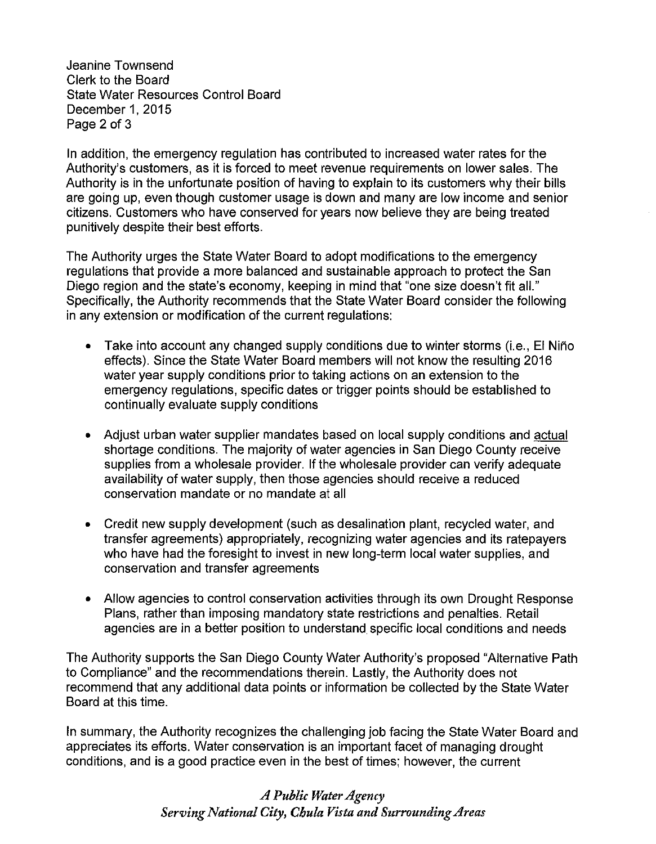Jeanine Townsend Clerk to the Board State Water Resources Control Board December 1, 2015 Page 2 of 3

In addition, the emergency regulation has contributed to increased water rates for the Authority's customers, as it is forced to meet revenue requirements on lower sales. The Authority is in the unfortunate position of having to explain to its customers why their bills are going up, even though customer usage is down and many are low income and senior citizens. Customers who have conserved for years now believe they are being treated punitively despite their best efforts.

The Authority urges the State Water Board to adopt modifications to the emergency regulations that provide a more balanced and sustainable approach to protect the San Diego region and the state's economy, keeping in mind that "one size doesn't fit all." Specifically, the Authority recommends that the State Water Board consider the following in any extension or modification of the current regulations:

- Take into account any changed supply conditions due to winter storms (i.e., El Niño effects). Since the State Water Board members will not know the resulting 2016 water year supply conditions prior to taking actions on an extension to the emergency regulations, specific dates or trigger points should be established to continually evaluate supply conditions
- Adjust urban water supplier mandates based on local supply conditions and actual shortage conditions. The majority of water agencies in San Diego County receive supplies from a wholesale provider. If the wholesale provider can verify adequate availability of water supply, then those agencies should receive a reduced conservation mandate or no mandate at all
- Credit new supply development (such as desalination plant, recycled water, and transfer agreements) appropriately, recognizing water agencies and its ratepayers who have had the foresight to invest in new long-term local water supplies, and conservation and transfer agreements
- Allow agencies to control conservation activities through its own Drought Response Plans, rather than imposing mandatory state restrictions and penalties. Retail agencies are in a better position to understand specific local conditions and needs

The Authority supports the San Diego County Water Authority's proposed "Alternative Path to Compliance" and the recommendations therein. Lastly, the Authority does not recommend that any additional data points or information be collected by the State Water Board at this time.

In summary, the Authority recognizes the challenging job facing the State Water Board and appreciates its efforts. Water conservation is an important facet of managing drought conditions, and is a good practice even in the best of times; however, the current

## *A Public Water Agency Serving National City, Chula Vista and Surrounding Areas*